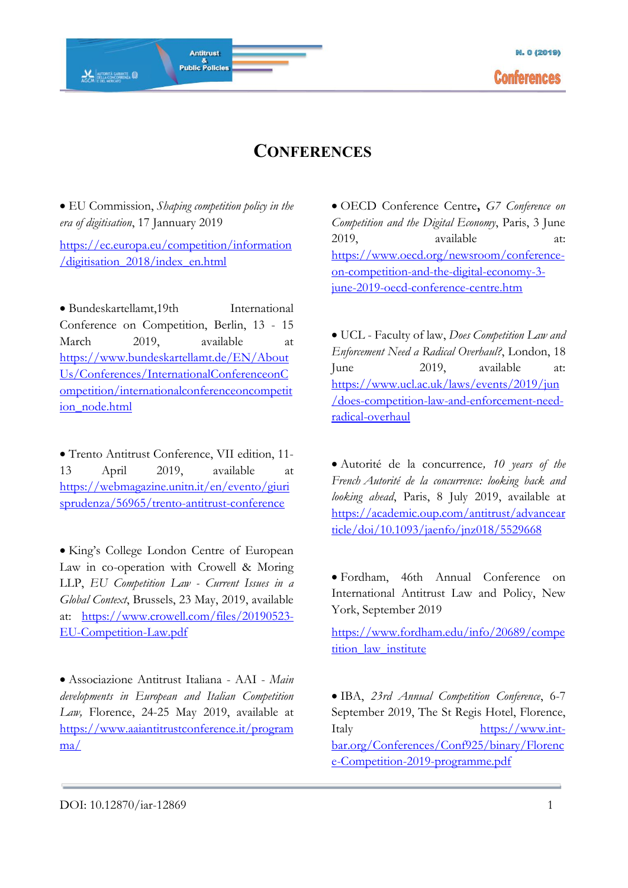• EU Commission, *Shaping competition policy in the era of digitisation*, 17 Jannuary 2019

Antitrust

&<br>Public Policies

**AL AUTORITÀ GARANTE** 

[https://ec.europa.eu/competition/information](https://ec.europa.eu/competition/information/digitisation_2018/index_en.html) [/digitisation\\_2018/index\\_en.html](https://ec.europa.eu/competition/information/digitisation_2018/index_en.html)

• Bundeskartellamt.19th International Conference on Competition, Berlin, 13 - 15 March 2019, available at [https://www.bundeskartellamt.de/EN/About](https://www.bundeskartellamt.de/EN/AboutUs/Conferences/InternationalConferenceonCompetition/internationalconferenceoncompetition_node.html) [Us/Conferences/InternationalConferenceonC](https://www.bundeskartellamt.de/EN/AboutUs/Conferences/InternationalConferenceonCompetition/internationalconferenceoncompetition_node.html) [ompetition/internationalconferenceoncompetit](https://www.bundeskartellamt.de/EN/AboutUs/Conferences/InternationalConferenceonCompetition/internationalconferenceoncompetition_node.html) [ion\\_node.html](https://www.bundeskartellamt.de/EN/AboutUs/Conferences/InternationalConferenceonCompetition/internationalconferenceoncompetition_node.html)

• Trento Antitrust Conference, VII edition, 11- 13 April 2019, available at [https://webmagazine.unitn.it/en/evento/giuri](https://webmagazine.unitn.it/en/evento/giurisprudenza/56965/trento-antitrust-conference) [sprudenza/56965/trento-antitrust-conference](https://webmagazine.unitn.it/en/evento/giurisprudenza/56965/trento-antitrust-conference)

• King's College London Centre of European Law in co-operation with Crowell & Moring LLP, *EU Competition Law - Current Issues in a Global Context*, Brussels, 23 May, 2019, available at: [https://www.crowell.com/files/20190523-](https://www.crowell.com/files/20190523-EU-Competition-Law.pdf) [EU-Competition-Law.pdf](https://www.crowell.com/files/20190523-EU-Competition-Law.pdf)

• Associazione Antitrust Italiana - AAI - *Main developments in European and Italian Competition Law,* Florence, 24-25 May 2019, available at [https://www.aaiantitrustconference.it/program](https://www.aaiantitrustconference.it/programma/) [ma/](https://www.aaiantitrustconference.it/programma/)

• OECD Conference Centre**,** *G7 Conference on Competition and the Digital Economy*, Paris, 3 June 2019, available at: [https://www.oecd.org/newsroom/conference](https://www.oecd.org/newsroom/conference-on-competition-and-the-digital-economy-3-june-2019-oecd-conference-centre.htm)[on-competition-and-the-digital-economy-3](https://www.oecd.org/newsroom/conference-on-competition-and-the-digital-economy-3-june-2019-oecd-conference-centre.htm) [june-2019-oecd-conference-centre.htm](https://www.oecd.org/newsroom/conference-on-competition-and-the-digital-economy-3-june-2019-oecd-conference-centre.htm)

• UCL - Faculty of law, *Does Competition Law and Enforcement Need a Radical Overhaul?*, London, 18 June 2019, available at: [https://www.ucl.ac.uk/laws/events/2019/jun](https://www.ucl.ac.uk/laws/events/2019/jun/does-competition-law-and-enforcement-need-radical-overhaul) [/does-competition-law-and-enforcement-need](https://www.ucl.ac.uk/laws/events/2019/jun/does-competition-law-and-enforcement-need-radical-overhaul)[radical-overhaul](https://www.ucl.ac.uk/laws/events/2019/jun/does-competition-law-and-enforcement-need-radical-overhaul)

• Autorité de la concurrence*, 10 years of the French Autorité de la concurrence: looking back and looking ahead*, Paris, 8 July 2019, available at [https://academic.oup.com/antitrust/advancear](https://academic.oup.com/antitrust/advancearticle/doi/10.1093/jaenfo/jnz018/5529668) [ticle/doi/10.1093/jaenfo/jnz018/5529668](https://academic.oup.com/antitrust/advancearticle/doi/10.1093/jaenfo/jnz018/5529668)

• Fordham, 46th Annual Conference on International Antitrust Law and Policy, New York, September 2019

[https://www.fordham.edu/info/20689/compe](https://www.fordham.edu/info/20689/competition_law_institute) tition law institute

• IBA, *23rd Annual Competition Conference*, 6-7 September 2019, The St Regis Hotel, Florence, Italy [https://www.int](https://www.int-bar.org/Conferences/Conf925/binary/Florence-Competition-2019-programme.pdf)[bar.org/Conferences/Conf925/binary/Florenc](https://www.int-bar.org/Conferences/Conf925/binary/Florence-Competition-2019-programme.pdf) [e-Competition-2019-programme.pdf](https://www.int-bar.org/Conferences/Conf925/binary/Florence-Competition-2019-programme.pdf)